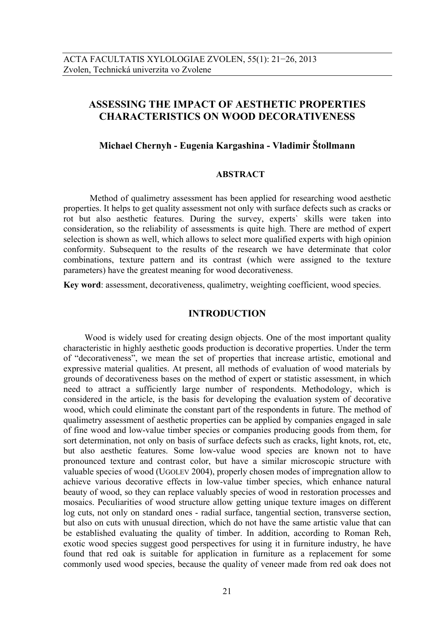# **ASSESSING THE IMPACT OF AESTHETIC PROPERTIES CHARACTERISTICS ON WOOD DECORATIVENESS**

# **Michael Chernyh - Eugenia Kargashina - Vladimir Štollmann**

### **ABSTRACT**

Method of qualimetry assessment has been applied for researching wood aesthetic properties. It helps to get quality assessment not only with surface defects such as cracks or rot but also aesthetic features. During the survey, experts` skills were taken into consideration, so the reliability of assessments is quite high. There are method of expert selection is shown as well, which allows to select more qualified experts with high opinion conformity. Subsequent to the results of the research we have determinate that color combinations, texture pattern and its contrast (which were assigned to the texture parameters) have the greatest meaning for wood decorativeness.

**Key word**: assessment, decorativeness, qualimetry, weighting coefficient, wood species.

## **INTRODUCTION**

Wood is widely used for creating design objects. One of the most important quality characteristic in highly aesthetic goods production is decorative properties. Under the term of "decorativeness", we mean the set of properties that increase artistic, emotional and expressive material qualities. At present, all methods of evaluation of wood materials by grounds of decorativeness bases on the method of expert or statistic assessment, in which need to attract a sufficiently large number of respondents. Methodology, which is considered in the article, is the basis for developing the evaluation system of decorative wood, which could eliminate the constant part of the respondents in future. The method of qualimetry assessment of aesthetic properties can be applied by companies engaged in sale of fine wood and low-value timber species or companies producing goods from them, for sort determination, not only on basis of surface defects such as cracks, light knots, rot, etc, but also aesthetic features. Some low-value wood species are known not to have pronounced texture and contrast color, but have a similar microscopic structure with valuable species of wood (UGOLEV 2004), properly chosen modes of impregnation allow to achieve various decorative effects in low-value timber species, which enhance natural beauty of wood, so they can replace valuably species of wood in restoration processes and mosaics. Peculiarities of wood structure allow getting unique texture images on different log cuts, not only on standard ones - radial surface, tangential section, transverse section, but also on cuts with unusual direction, which do not have the same artistic value that can be established evaluating the quality of timber. In addition, according to Roman Reh, exotic wood species suggest good perspectives for using it in furniture industry, he have found that red oak is suitable for application in furniture as a replacement for some commonly used wood species, because the quality of veneer made from red oak does not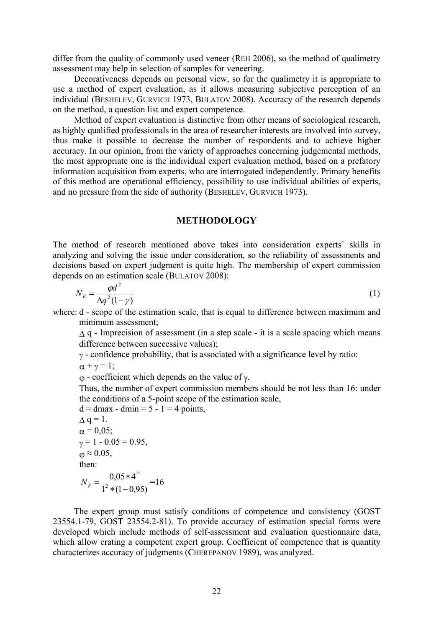differ from the quality of commonly used veneer (REH 2006), so the method of qualimetry assessment may help in selection of samples for veneering.

Decorativeness depends on personal view, so for the qualimetry it is appropriate to use a method of expert evaluation, as it allows measuring subjective perception of an individual (BESHELEV, GURVICH 1973, BULATOV 2008). Accuracy of the research depends on the method, a question list and expert competence.

Method of expert evaluation is distinctive from other means of sociological research, as highly qualified professionals in the area of researcher interests are involved into survey, thus make it possible to decrease the number of respondents and to achieve higher accuracy. In our opinion, from the variety of approaches concerning judgemental methods, the most appropriate one is the individual expert evaluation method, based on a prefatory information acquisition from experts, who are interrogated independently. Primary benefits of this method are operational efficiency, possibility to use individual abilities of experts, and no pressure from the side of authority (BESHELEV, GURVICH 1973).

### **METHODOLOGY**

The method of research mentioned above takes into consideration experts` skills in analyzing and solving the issue under consideration, so the reliability of assessments and decisions based on expert judgment is quite high. The membership of expert commission depends on an estimation scale (BULATOV 2008):

$$
N_E = \frac{\varphi d^2}{\Delta q^2 (1 - \gamma)}\tag{1}
$$

where: d - scope of the estimation scale, that is equal to difference between maximum and minimum assessment;

 $\Lambda$  q - Imprecision of assessment (in a step scale - it is a scale spacing which means difference between successive values);

 $\gamma$  - confidence probability, that is associated with a significance level by ratio:

 $\alpha + \gamma = 1$ ;

 $\varphi$  - coefficient which depends on the value of  $\gamma$ .

Thus, the number of expert commission members should be not less than 16: under the conditions of a 5-point scope of the estimation scale,

 $d = d$ max - dmin = 5 - 1 = 4 points,  $\Delta$  q = 1.  $\alpha = 0.05$ ;  $v = 1 - 0.05 = 0.95$ ,  $\omega \approx 0.05$ , then:  $1^2 * (1 - 0.95)$  $0,05*4$ 2 2  $*(1 N_E = \frac{0.05 * 4^2}{1^2 \times (1 - 0.05)} = 16$ 

The expert group must satisfy conditions of competence and consistency (GOST 23554.1-79, GOST 23554.2-81). To provide accuracy of estimation special forms were developed which include methods of self-assessment and evaluation questionnaire data, which allow crating a competent expert group. Coefficient of competence that is quantity characterizes accuracy of judgments (CHEREPANOV 1989), was analyzed.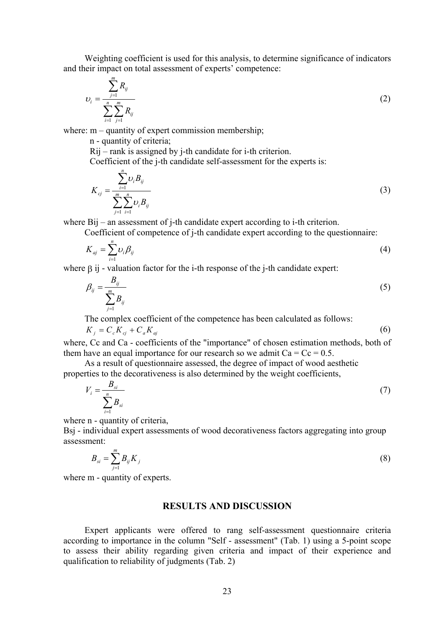Weighting coefficient is used for this analysis, to determine significance of indicators and their impact on total assessment of experts' competence:

$$
U_i = \frac{\sum_{j=1}^{m} R_{ij}}{\sum_{i=1}^{n} \sum_{j=1}^{m} R_{ij}}
$$
 (2)

where:  $m -$  quantity of expert commission membership;

n - quantity of criteria;

Rij – rank is assigned by j-th candidate for i-th criterion.

Coefficient of the j-th candidate self-assessment for the experts is:

$$
K_{cj} = \frac{\sum_{i=1}^{n} \nu_{i} B_{ij}}{\sum_{j=1}^{m} \sum_{i=1}^{n} \nu_{i} B_{ij}}
$$
(3)

where Bij – an assessment of j-th candidate expert according to i-th criterion.

Coefficient of competence of j-th candidate expert according to the questionnaire:

$$
K_{aj} = \sum_{i=1}^{n} \nu_i \beta_{ij} \tag{4}
$$

where  $\beta$  ij - valuation factor for the i-th response of the j-th candidate expert:

$$
\beta_{ij} = \frac{B_{ij}}{\sum_{j=1}^{m} B_{ij}}\tag{5}
$$

The complex coefficient of the competence has been calculated as follows:

$$
K_j = C_c K_{cj} + C_a K_{aj} \tag{6}
$$

where, Cc and Ca - coefficients of the "importance" of chosen estimation methods, both of them have an equal importance for our research so we admit  $Ca = Cc = 0.5$ .

As a result of questionnaire assessed, the degree of impact of wood aesthetic properties to the decorativeness is also determined by the weight coefficients,

$$
V_i = \frac{B_{si}}{\sum_{i=1}^{n} B_{si}}
$$
 (7)

where n - quantity of criteria,

Bsj - individual expert assessments of wood decorativeness factors aggregating into group assessment:

$$
B_{si} = \sum_{j=1}^{m} B_{ij} K_j
$$
 (8)

where m - quantity of experts.

## **RESULTS AND DISCUSSION**

Expert applicants were offered to rang self-assessment questionnaire criteria according to importance in the column "Self - assessment" (Tab. 1) using a 5-point scope to assess their ability regarding given criteria and impact of their experience and qualification to reliability of judgments (Tab. 2)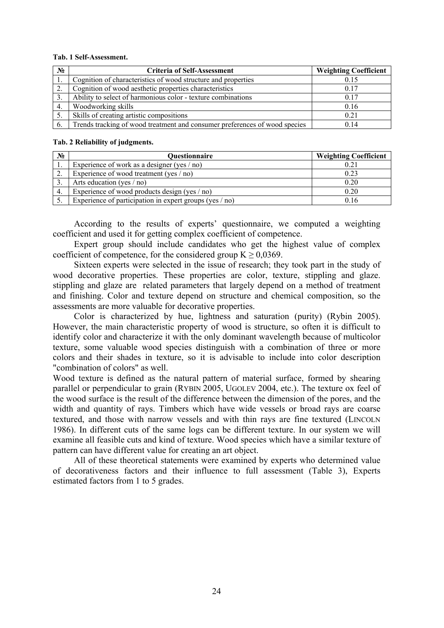#### **Tab. 1 Self-Assessment.**

| $N_2$ | <b>Criteria of Self-Assessment</b>                                         | <b>Weighting Coefficient</b> |
|-------|----------------------------------------------------------------------------|------------------------------|
|       | Cognition of characteristics of wood structure and properties              | 0.15                         |
|       | Cognition of wood aesthetic properties characteristics                     | 0.17                         |
|       | Ability to select of harmonious color - texture combinations               | 0.17                         |
| 4.    | Woodworking skills                                                         | 0.16                         |
|       | Skills of creating artistic compositions                                   | 0.21                         |
| 6.    | Trends tracking of wood treatment and consumer preferences of wood species | 0.14                         |

#### **Tab. 2 Reliability of judgments.**

| $N_2$ | Questionnaire                                             | <b>Weighting Coefficient</b> |
|-------|-----------------------------------------------------------|------------------------------|
|       | Experience of work as a designer (yes $/$ no)             | 0.21                         |
| ۷,    | Experience of wood treatment (yes $/$ no)                 | 0.23                         |
|       | Arts education (yes $/$ no)                               | 0.20                         |
| 4.    | Experience of wood products design (yes / no)             | 0.20                         |
|       | Experience of participation in expert groups (yes $/$ no) | 0.16                         |

According to the results of experts' questionnaire, we computed a weighting coefficient and used it for getting complex coefficient of competence.

Expert group should include candidates who get the highest value of complex coefficient of competence, for the considered group  $K \ge 0.0369$ .

Sixteen experts were selected in the issue of research; they took part in the study of wood decorative properties. These properties are color, texture, stippling and glaze. stippling and glaze are related parameters that largely depend on a method of treatment and finishing. Color and texture depend on structure and chemical composition, so the assessments are more valuable for decorative properties.

Color is characterized by hue, lightness and saturation (purity) (Rybin 2005). However, the main characteristic property of wood is structure, so often it is difficult to identify color and characterize it with the only dominant wavelength because of multicolor texture, some valuable wood species distinguish with a combination of three or more colors and their shades in texture, so it is advisable to include into color description "combination of colors" as well.

Wood texture is defined as the natural pattern of material surface, formed by shearing parallel or perpendicular to grain (RYBIN 2005, UGOLEV 2004, etc.). The texture ox feel of the wood surface is the result of the difference between the dimension of the pores, and the width and quantity of rays. Timbers which have wide vessels or broad rays are coarse textured, and those with narrow vessels and with thin rays are fine textured (LINCOLN 1986). In different cuts of the same logs can be different texture. In our system we will examine all feasible cuts and kind of texture. Wood species which have a similar texture of pattern can have different value for creating an art object.

All of these theoretical statements were examined by experts who determined value of decorativeness factors and their influence to full assessment (Table 3), Experts estimated factors from 1 to 5 grades.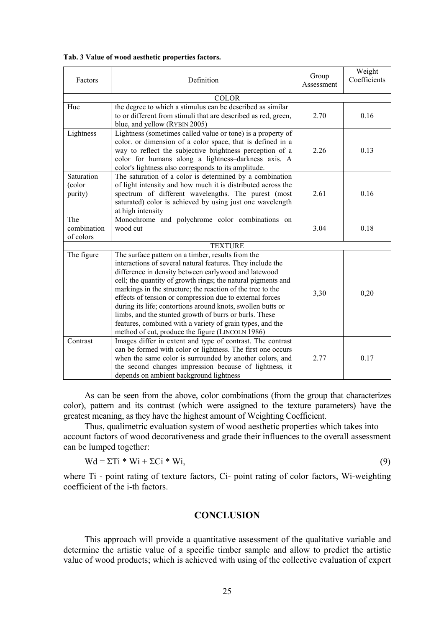| Tab. 3 Value of wood aesthetic properties factors. |  |
|----------------------------------------------------|--|
|----------------------------------------------------|--|

| Factors                         | Definition                                                                                                                                                                                                                                                                                                                                                                                                                                                                                                                                                                                                  | Group<br>Assessment | Weight<br>Coefficients |  |  |  |  |
|---------------------------------|-------------------------------------------------------------------------------------------------------------------------------------------------------------------------------------------------------------------------------------------------------------------------------------------------------------------------------------------------------------------------------------------------------------------------------------------------------------------------------------------------------------------------------------------------------------------------------------------------------------|---------------------|------------------------|--|--|--|--|
| <b>COLOR</b>                    |                                                                                                                                                                                                                                                                                                                                                                                                                                                                                                                                                                                                             |                     |                        |  |  |  |  |
| Hue                             | the degree to which a stimulus can be described as similar<br>to or different from stimuli that are described as red, green,<br>blue, and yellow (RYBIN 2005)                                                                                                                                                                                                                                                                                                                                                                                                                                               | 2.70                | 0.16                   |  |  |  |  |
| Lightness                       | Lightness (sometimes called value or tone) is a property of<br>color. or dimension of a color space, that is defined in a<br>way to reflect the subjective brightness perception of a<br>color for humans along a lightness-darkness axis. A<br>color's lightness also corresponds to its amplitude.                                                                                                                                                                                                                                                                                                        | 2.26                | 0.13                   |  |  |  |  |
| Saturation<br>(color<br>purity) | The saturation of a color is determined by a combination<br>of light intensity and how much it is distributed across the<br>spectrum of different wavelengths. The purest (most<br>saturated) color is achieved by using just one wavelength<br>at high intensity                                                                                                                                                                                                                                                                                                                                           | 2.61                | 0.16                   |  |  |  |  |
| The<br>combination<br>of colors | Monochrome and polychrome color combinations on<br>wood cut                                                                                                                                                                                                                                                                                                                                                                                                                                                                                                                                                 | 3.04                | 0.18                   |  |  |  |  |
| <b>TEXTURE</b>                  |                                                                                                                                                                                                                                                                                                                                                                                                                                                                                                                                                                                                             |                     |                        |  |  |  |  |
| The figure                      | The surface pattern on a timber, results from the<br>interactions of several natural features. They include the<br>difference in density between earlywood and latewood<br>cell; the quantity of growth rings; the natural pigments and<br>markings in the structure; the reaction of the tree to the<br>effects of tension or compression due to external forces<br>during its life; contortions around knots, swollen butts or<br>limbs, and the stunted growth of burrs or burls. These<br>features, combined with a variety of grain types, and the<br>method of cut, produce the figure (LINCOLN 1986) | 3,30                | 0,20                   |  |  |  |  |
| Contrast                        | Images differ in extent and type of contrast. The contrast<br>can be formed with color or lightness. The first one occurs<br>when the same color is surrounded by another colors, and<br>the second changes impression because of lightness, it<br>depends on ambient background lightness                                                                                                                                                                                                                                                                                                                  | 2.77                | 0.17                   |  |  |  |  |

As can be seen from the above, color combinations (from the group that characterizes color), pattern and its contrast (which were assigned to the texture parameters) have the greatest meaning, as they have the highest amount of Weighting Coefficient.

Thus, qualimetric evaluation system of wood aesthetic properties which takes into account factors of wood decorativeness and grade their influences to the overall assessment can be lumped together:

$$
Wd = \Sigma Ti * Wi + \Sigma Ci * Wi,
$$
\n(9)

where Ti - point rating of texture factors, Ci- point rating of color factors, Wi-weighting coefficient of the i-th factors.

# **CONCLUSION**

This approach will provide a quantitative assessment of the qualitative variable and determine the artistic value of a specific timber sample and allow to predict the artistic value of wood products; which is achieved with using of the collective evaluation of expert